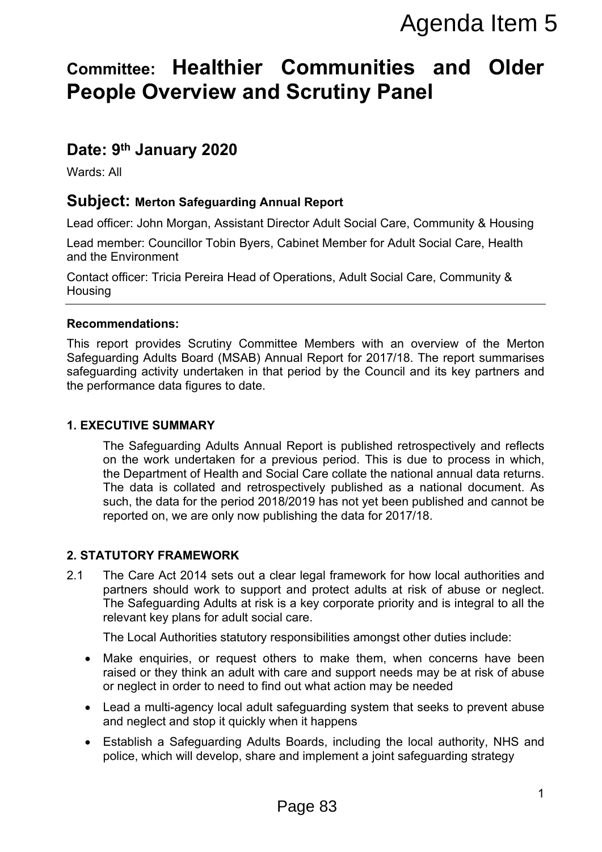# **Committee: Healthier Communities and Older People Overview and Scrutiny Panel**

## **Date: 9 th January 2020**

Wards: All

#### **Subject: Merton Safeguarding Annual Report**

Lead officer: John Morgan, Assistant Director Adult Social Care, Community & Housing

Lead member: Councillor Tobin Byers, Cabinet Member for Adult Social Care, Health and the Environment

Contact officer: Tricia Pereira Head of Operations, Adult Social Care, Community & **Housing** 

#### **Recommendations:**

This report provides Scrutiny Committee Members with an overview of the Merton Safeguarding Adults Board (MSAB) Annual Report for 2017/18. The report summarises safeguarding activity undertaken in that period by the Council and its key partners and the performance data figures to date.

#### **1. EXECUTIVE SUMMARY**

The Safeguarding Adults Annual Report is published retrospectively and reflects on the work undertaken for a previous period. This is due to process in which, the Department of Health and Social Care collate the national annual data returns. The data is collated and retrospectively published as a national document. As such, the data for the period 2018/2019 has not yet been published and cannot be reported on, we are only now publishing the data for 2017/18. Agenda Item 5<br> **Communities and Older**<br> **Scrutiny Panel**<br>
mual Report<br>
metaor Adult Social Care, Community & Housing<br>
Cabinet Member for Adult Social Care, Health<br>
Deperations, Adult Social Care, Community &<br>
the Members w

#### **2. STATUTORY FRAMEWORK**

2.1 The Care Act 2014 sets out a clear legal framework for how local authorities and partners should work to support and protect adults at risk of abuse or neglect. The Safeguarding Adults at risk is a key corporate priority and is integral to all the relevant key plans for adult social care.

The Local Authorities statutory responsibilities amongst other duties include:

- Make enquiries, or request others to make them, when concerns have been raised or they think an adult with care and support needs may be at risk of abuse or neglect in order to need to find out what action may be needed
- Lead a multi-agency local adult safeguarding system that seeks to prevent abuse and neglect and stop it quickly when it happens
- Establish a Safeguarding Adults Boards, including the local authority, NHS and police, which will develop, share and implement a joint safeguarding strategy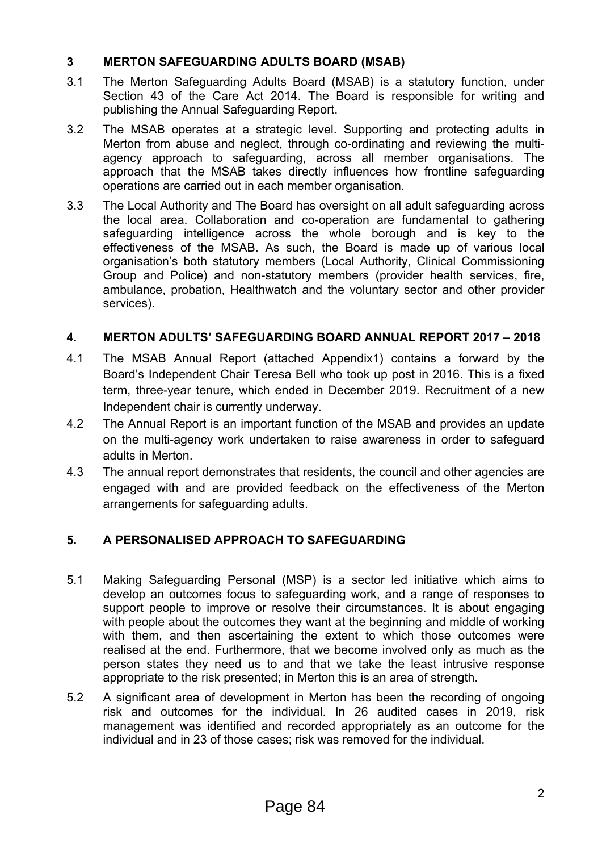#### **3 MERTON SAFEGUARDING ADULTS BOARD (MSAB)**

- 3.1 The Merton Safeguarding Adults Board (MSAB) is a statutory function, under Section 43 of the Care Act 2014. The Board is responsible for writing and publishing the Annual Safeguarding Report.
- 3.2 The MSAB operates at a strategic level. Supporting and protecting adults in Merton from abuse and neglect, through co-ordinating and reviewing the multiagency approach to safeguarding, across all member organisations. The approach that the MSAB takes directly influences how frontline safeguarding operations are carried out in each member organisation.
- 3.3 The Local Authority and The Board has oversight on all adult safeguarding across the local area. Collaboration and co-operation are fundamental to gathering safeguarding intelligence across the whole borough and is key to the effectiveness of the MSAB. As such, the Board is made up of various local organisation's both statutory members (Local Authority, Clinical Commissioning Group and Police) and non-statutory members (provider health services, fire, ambulance, probation, Healthwatch and the voluntary sector and other provider services).

#### **4. MERTON ADULTS' SAFEGUARDING BOARD ANNUAL REPORT 2017 – 2018**

- 4.1 The MSAB Annual Report (attached Appendix1) contains a forward by the Board's Independent Chair Teresa Bell who took up post in 2016. This is a fixed term, three-year tenure, which ended in December 2019. Recruitment of a new Independent chair is currently underway.
- 4.2 The Annual Report is an important function of the MSAB and provides an update on the multi-agency work undertaken to raise awareness in order to safeguard adults in Merton.
- 4.3 The annual report demonstrates that residents, the council and other agencies are engaged with and are provided feedback on the effectiveness of the Merton arrangements for safeguarding adults.

### **5. A PERSONALISED APPROACH TO SAFEGUARDING**

- 5.1 Making Safeguarding Personal (MSP) is a sector led initiative which aims to develop an outcomes focus to safeguarding work, and a range of responses to support people to improve or resolve their circumstances. It is about engaging with people about the outcomes they want at the beginning and middle of working with them, and then ascertaining the extent to which those outcomes were realised at the end. Furthermore, that we become involved only as much as the person states they need us to and that we take the least intrusive response appropriate to the risk presented; in Merton this is an area of strength.
- 5.2 A significant area of development in Merton has been the recording of ongoing risk and outcomes for the individual. In 26 audited cases in 2019, risk management was identified and recorded appropriately as an outcome for the individual and in 23 of those cases; risk was removed for the individual.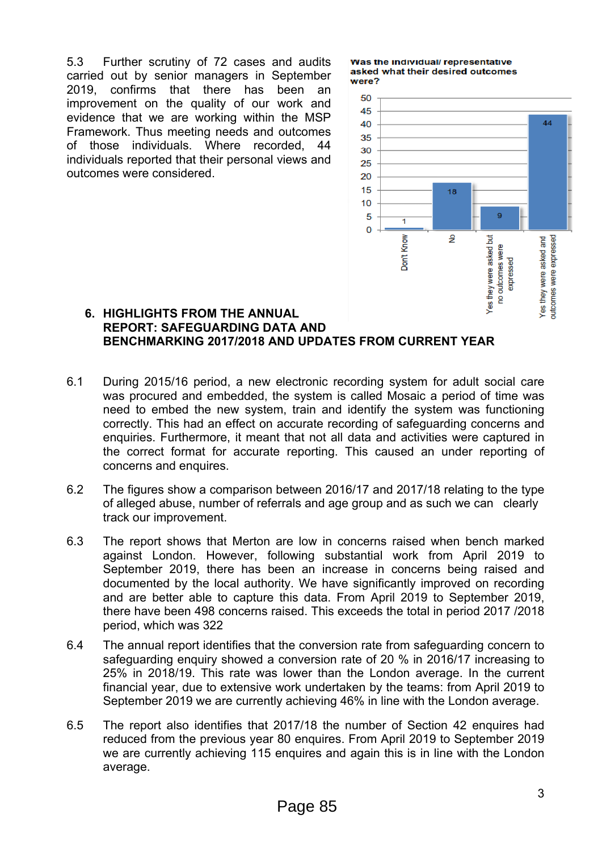5.3 Further scrutiny of 72 cases and audits carried out by senior managers in September 2019, confirms that there has been an improvement on the quality of our work and evidence that we are working within the MSP Framework. Thus meeting needs and outcomes of those individuals. Where recorded, 44 individuals reported that their personal views and outcomes were considered.

Was the individual/representative asked what their desired outcomes were?



#### **6. HIGHLIGHTS FROM THE ANNUAL REPORT: SAFEGUARDING DATA AND BENCHMARKING 2017/2018 AND UPDATES FROM CURRENT YEAR**

- 6.1 During 2015/16 period, a new electronic recording system for adult social care was procured and embedded, the system is called Mosaic a period of time was need to embed the new system, train and identify the system was functioning correctly. This had an effect on accurate recording of safeguarding concerns and enquiries. Furthermore, it meant that not all data and activities were captured in the correct format for accurate reporting. This caused an under reporting of concerns and enquires.
- 6.2 The figures show a comparison between 2016/17 and 2017/18 relating to the type of alleged abuse, number of referrals and age group and as such we can clearly track our improvement.
- 6.3 The report shows that Merton are low in concerns raised when bench marked against London. However, following substantial work from April 2019 to September 2019, there has been an increase in concerns being raised and documented by the local authority. We have significantly improved on recording and are better able to capture this data. From April 2019 to September 2019, there have been 498 concerns raised. This exceeds the total in period 2017 /2018 period, which was 322
- 6.4 The annual report identifies that the conversion rate from safeguarding concern to safeguarding enquiry showed a conversion rate of 20 % in 2016/17 increasing to 25% in 2018/19. This rate was lower than the London average. In the current financial year, due to extensive work undertaken by the teams: from April 2019 to September 2019 we are currently achieving 46% in line with the London average.
- 6.5 The report also identifies that 2017/18 the number of Section 42 enquires had reduced from the previous year 80 enquires. From April 2019 to September 2019 we are currently achieving 115 enquires and again this is in line with the London average.